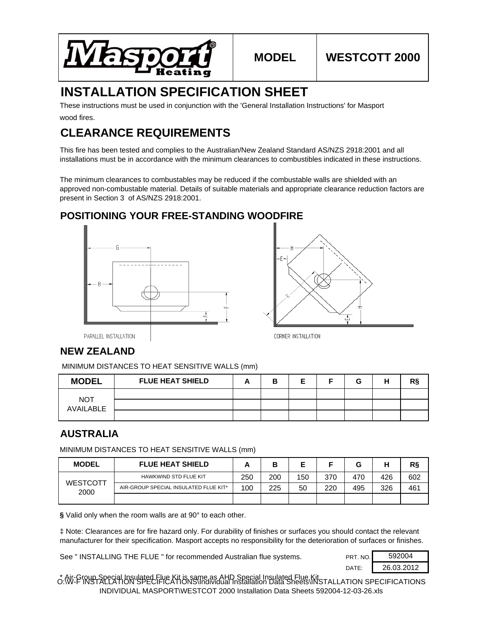

# **INSTALLATION SPECIFICATION SHEET**

wood fires. These instructions must be used in conjunction with the 'General Installation Instructions' for Masport

# **CLEARANCE REQUIREMENTS**

This fire has been tested and complies to the Australian/New Zealand Standard AS/NZS 2918:2001 and all installations must be in accordance with the minimum clearances to combustibles indicated in these instructions.

The minimum clearances to combustables may be reduced if the combustable walls are shielded with an approved non-combustable material. Details of suitable materials and appropriate clearance reduction factors are present in Section 3 of AS/NZS 2918:2001.

## **POSITIONING YOUR FREE-STANDING WOODFIRE**





PARALLEL INSTALLATION

### **NEW ZEALAND**

MINIMUM DISTANCES TO HEAT SENSITIVE WALLS (mm)

| <b>MODEL</b>            | <b>FLUE HEAT SHIELD</b> | в | F | G | н | ת מ |
|-------------------------|-------------------------|---|---|---|---|-----|
|                         |                         |   |   |   |   |     |
| <b>NOT</b><br>AVAILABLE |                         |   |   |   |   |     |
|                         |                         |   |   |   |   |     |

### **AUSTRALIA**

MINIMUM DISTANCES TO HEAT SENSITIVE WALLS (mm)

| <b>MODEL</b>            | <b>FLUE HEAT SHIELD</b>               | r   |     |     |     |     |     | R§  |
|-------------------------|---------------------------------------|-----|-----|-----|-----|-----|-----|-----|
| <b>WESTCOTT</b><br>2000 | HAWKWIND STD FLUE KIT                 | 250 | 200 | 150 | 370 | 470 | 426 | 602 |
|                         | AIR-GROUP SPECIAL INSULATED FLUE KIT* | 100 | 225 | 50  | 220 | 495 | 326 | 461 |
|                         |                                       |     |     |     |     |     |     |     |

**§** Valid only when the room walls are at 90° to each other.

‡ Note: Clearances are for fire hazard only. For durability of finishes or surfaces you should contact the relevant manufacturer for their specification. Masport accepts no responsibility for the deterioration of surfaces or finishes.

See " INSTALLING THE FLUE " for recommended Australian flue systems. PRT. NO.

DATE: 26.03.2012 592004

\* Air-Group Special Insulated Flue Kit is same as AHD Special Insulated Flue Kit O:\W-F INSTALLATION SPECIFICATIONS\Individual Installation Data Sheets\INSTALLATION SPECIFICATIONS INDIVIDUAL MASPORT\WESTCOT 2000 Installation Data Sheets 592004-12-03-26.xls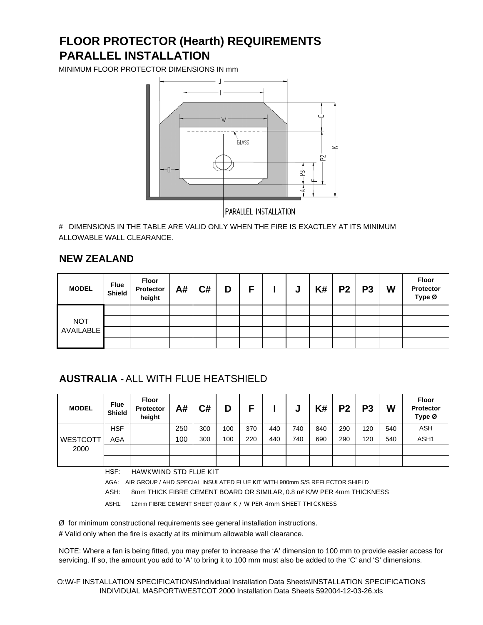# **PARALLEL INSTALLATION FLOOR PROTECTOR (Hearth) REQUIREMENTS**

MINIMUM FLOOR PROTECTOR DIMENSIONS IN mm



# DIMENSIONS IN THE TABLE ARE VALID ONLY WHEN THE FIRE IS EXACTLEY AT ITS MINIMUM ALLOWABLE WALL CLEARANCE.

#### **NEW ZEALAND**

| <b>MODEL</b>     | <b>Flue</b><br><b>Shield</b> | Floor<br>Protector<br>height | A# | C# | D | Е | J. | $K#$   P2   P3 | W | <b>Floor</b><br>Protector<br>Type Ø |
|------------------|------------------------------|------------------------------|----|----|---|---|----|----------------|---|-------------------------------------|
|                  |                              |                              |    |    |   |   |    |                |   |                                     |
| <b>NOT</b>       |                              |                              |    |    |   |   |    |                |   |                                     |
| <b>AVAILABLE</b> |                              |                              |    |    |   |   |    |                |   |                                     |
|                  |                              |                              |    |    |   |   |    |                |   |                                     |

## **AUSTRALIA -** ALL WITH FLUE HEATSHIELD

| <b>MODEL</b>    | <b>Flue</b><br><b>Shield</b> | Floor<br><b>Protector</b><br>height | A#  | C#  | D   |     |     | u   | K#  | P <sub>2</sub> | P <sub>3</sub> | W   | <b>Floor</b><br>Protector<br>Type Ø |
|-----------------|------------------------------|-------------------------------------|-----|-----|-----|-----|-----|-----|-----|----------------|----------------|-----|-------------------------------------|
|                 | <b>HSF</b>                   |                                     | 250 | 300 | 100 | 370 | 440 | 740 | 840 | 290            | 120            | 540 | <b>ASH</b>                          |
| <b>WESTCOTT</b> | AGA                          |                                     | 100 | 300 | 100 | 220 | 440 | 740 | 690 | 290            | 120            | 540 | ASH1                                |
| 2000            |                              |                                     |     |     |     |     |     |     |     |                |                |     |                                     |
|                 |                              |                                     |     |     |     |     |     |     |     |                |                |     |                                     |

HSF: HAWKWIND STD FLUE KIT

AGA: AIR GROUP / AHD SPECIAL INSULATED FLUE KIT WITH 900mm S/S REFLECTOR SHIELD

ASH: 8mm THICK FIBRE CEMENT BOARD OR SIMILAR, 0.8 m² K/W PER 4mm THICKNESS

ASH1: 12mm FIBRE CEMENT SHEET (0.8m² K / W PER 4mm SHEET THICKNESS

Ø for minimum constructional requirements see general installation instructions.

**#** Valid only when the fire is exactly at its minimum allowable wall clearance.

NOTE: Where a fan is being fitted, you may prefer to increase the 'A' dimension to 100 mm to provide easier access for servicing. If so, the amount you add to 'A' to bring it to 100 mm must also be added to the 'C' and 'S' dimensions.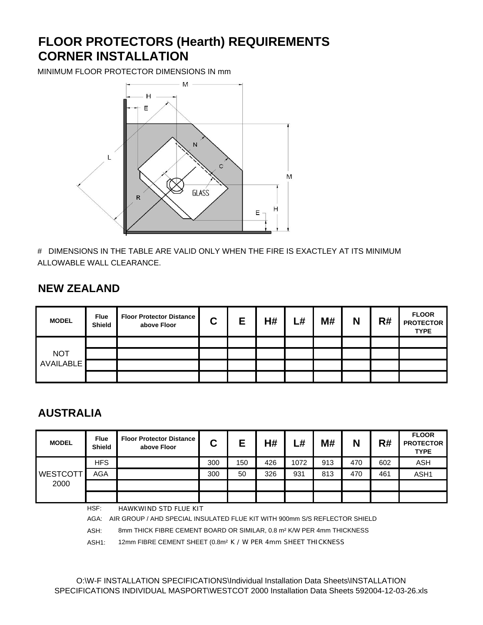# **FLOOR PROTECTORS (Hearth) REQUIREMENTS CORNER INSTALLATION**

MINIMUM FLOOR PROTECTOR DIMENSIONS IN mm



# DIMENSIONS IN THE TABLE ARE VALID ONLY WHEN THE FIRE IS EXACTLEY AT ITS MINIMUM ALLOWABLE WALL CLEARANCE.

## **NEW ZEALAND**

| <b>MODEL</b>     | <b>Flue</b><br>Shield | <b>Floor Protector Distance</b><br>above Floor | C | Е | H# | L# | M# | N | R# | <b>FLOOR</b><br><b>PROTECTOR</b><br><b>TYPE</b> |
|------------------|-----------------------|------------------------------------------------|---|---|----|----|----|---|----|-------------------------------------------------|
|                  |                       |                                                |   |   |    |    |    |   |    |                                                 |
| <b>NOT</b>       |                       |                                                |   |   |    |    |    |   |    |                                                 |
| <b>AVAILABLE</b> |                       |                                                |   |   |    |    |    |   |    |                                                 |
|                  |                       |                                                |   |   |    |    |    |   |    |                                                 |

## **AUSTRALIA**

| <b>MODEL</b>    | <b>Flue</b><br><b>Shield</b> | <b>Floor Protector Distance</b><br>above Floor | C   | Е   | H#  | ∟#   | M#  | N   | R#  | <b>FLOOR</b><br><b>PROTECTOR</b><br><b>TYPE</b> |
|-----------------|------------------------------|------------------------------------------------|-----|-----|-----|------|-----|-----|-----|-------------------------------------------------|
|                 | <b>HFS</b>                   |                                                | 300 | 150 | 426 | 1072 | 913 | 470 | 602 | <b>ASH</b>                                      |
| <b>WESTCOTT</b> | <b>AGA</b>                   |                                                | 300 | 50  | 326 | 931  | 813 | 470 | 461 | ASH1                                            |
| 2000            |                              |                                                |     |     |     |      |     |     |     |                                                 |
|                 |                              |                                                |     |     |     |      |     |     |     |                                                 |
|                 | HSF:                         | HAWKWIND STD FLUE KIT                          |     |     |     |      |     |     |     |                                                 |

AGA: AIR GROUP / AHD SPECIAL INSULATED FLUE KIT WITH 900mm S/S REFLECTOR SHIELD

ASH: 8mm THICK FIBRE CEMENT BOARD OR SIMILAR, 0.8 m² K/W PER 4mm THICKNESS

ASH1: 12mm FIBRE CEMENT SHEET (0.8m² K / W PER 4mm SHEET THICKNESS